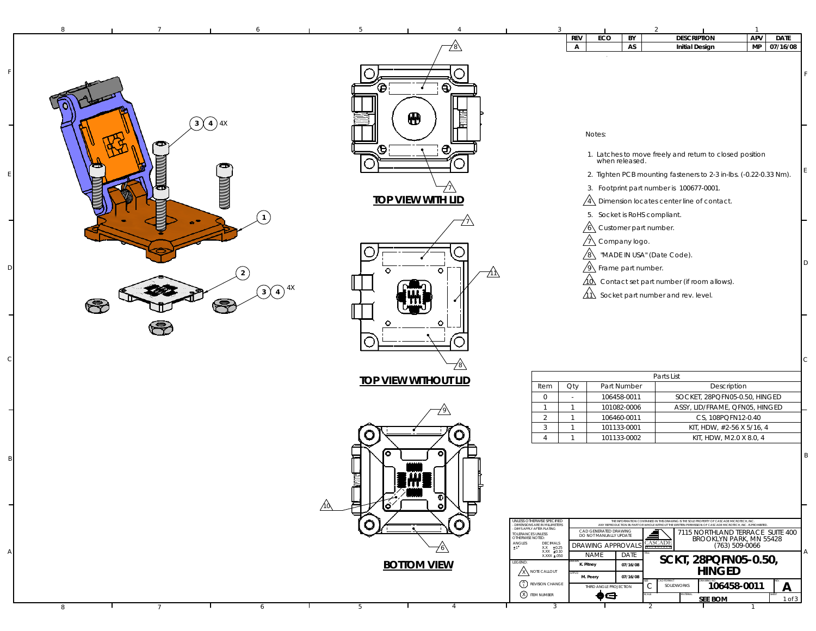| 8<br>7                             | Б.                          | $\mathcal{D}$<br>$\overline{1}$                                                                                                                                                                                                                                                                           |  |
|------------------------------------|-----------------------------|-----------------------------------------------------------------------------------------------------------------------------------------------------------------------------------------------------------------------------------------------------------------------------------------------------------|--|
|                                    |                             | <b>DESCRIPTION</b><br>APV<br><b>REV</b><br>ECO<br><b>DATE</b><br>BY                                                                                                                                                                                                                                       |  |
|                                    |                             | MP<br>07/16/08<br>AS<br><b>Initial Design</b><br>$\mathsf{A}$                                                                                                                                                                                                                                             |  |
|                                    |                             |                                                                                                                                                                                                                                                                                                           |  |
|                                    |                             |                                                                                                                                                                                                                                                                                                           |  |
|                                    | $\odot$                     |                                                                                                                                                                                                                                                                                                           |  |
|                                    | ◶                           |                                                                                                                                                                                                                                                                                                           |  |
|                                    |                             |                                                                                                                                                                                                                                                                                                           |  |
|                                    | ⊕                           |                                                                                                                                                                                                                                                                                                           |  |
| $\binom{4}{4}$<br>$\left(3\right)$ |                             |                                                                                                                                                                                                                                                                                                           |  |
|                                    |                             | Notes:                                                                                                                                                                                                                                                                                                    |  |
|                                    | Θ<br>⊕,                     |                                                                                                                                                                                                                                                                                                           |  |
|                                    |                             | 1. Latches to move freely and return to closed position<br>when released.                                                                                                                                                                                                                                 |  |
|                                    |                             |                                                                                                                                                                                                                                                                                                           |  |
|                                    |                             | 2. Tighten PCB mounting fasteners to 2-3 in-lbs. (-0.22-0.33 Nm).                                                                                                                                                                                                                                         |  |
|                                    |                             | 3. Footprint part number is 100677-0001.                                                                                                                                                                                                                                                                  |  |
| MANAMA                             | <b>TOP VIEW WITH LID</b>    | $\sqrt{4}$ Dimension locates center line of contact.                                                                                                                                                                                                                                                      |  |
|                                    |                             | 5. Socket is RoHS compliant.                                                                                                                                                                                                                                                                              |  |
|                                    |                             |                                                                                                                                                                                                                                                                                                           |  |
|                                    |                             | $\sqrt{6}$ Customer part number.                                                                                                                                                                                                                                                                          |  |
|                                    |                             | $\sqrt{1}$ Company logo.                                                                                                                                                                                                                                                                                  |  |
|                                    |                             | $\sqrt{8}$<br>"MADE IN USA" (Date Code).                                                                                                                                                                                                                                                                  |  |
|                                    | ົ                           | D<br>$\sqrt{9}$ Frame part number.                                                                                                                                                                                                                                                                        |  |
|                                    |                             |                                                                                                                                                                                                                                                                                                           |  |
| $\bigodot$ 4X                      |                             | $\overrightarrow{40}$ Contact set part number (if room allows).                                                                                                                                                                                                                                           |  |
|                                    |                             | $\overrightarrow{11}$ Socket part number and rev. level.                                                                                                                                                                                                                                                  |  |
| Ę                                  |                             |                                                                                                                                                                                                                                                                                                           |  |
|                                    | ◠                           |                                                                                                                                                                                                                                                                                                           |  |
|                                    |                             |                                                                                                                                                                                                                                                                                                           |  |
|                                    |                             |                                                                                                                                                                                                                                                                                                           |  |
|                                    |                             |                                                                                                                                                                                                                                                                                                           |  |
|                                    |                             | C.                                                                                                                                                                                                                                                                                                        |  |
|                                    |                             | Parts List                                                                                                                                                                                                                                                                                                |  |
|                                    | <b>TOP VIEW WITHOUT LID</b> | Qty<br>Part Number<br>Description<br>Item                                                                                                                                                                                                                                                                 |  |
|                                    |                             | SOCKET, 28PQFN05-0.50, HINGED<br>$\circ$<br>106458-0011<br>$\sim$                                                                                                                                                                                                                                         |  |
|                                    |                             | $\mathbf{1}$<br>101082-0006<br>ASSY, LID/FRAME, QFN05, HINGED<br>$\mathbf{1}$                                                                                                                                                                                                                             |  |
|                                    |                             | CS, 108PQFN12-0.40<br>2<br>$\overline{1}$<br>106460-0011                                                                                                                                                                                                                                                  |  |
|                                    |                             | 3<br>$\overline{1}$<br>101133-0001<br>KIT, HDW, #2-56 X 5/16, 4                                                                                                                                                                                                                                           |  |
|                                    | O                           | KIT, HDW, M2.0 X 8.0, 4<br>$\overline{1}$<br>101133-0002<br>$\overline{4}$                                                                                                                                                                                                                                |  |
|                                    |                             |                                                                                                                                                                                                                                                                                                           |  |
|                                    |                             | B                                                                                                                                                                                                                                                                                                         |  |
|                                    |                             |                                                                                                                                                                                                                                                                                                           |  |
|                                    |                             |                                                                                                                                                                                                                                                                                                           |  |
|                                    |                             |                                                                                                                                                                                                                                                                                                           |  |
|                                    |                             |                                                                                                                                                                                                                                                                                                           |  |
|                                    |                             |                                                                                                                                                                                                                                                                                                           |  |
|                                    |                             | UNLESS OTHERWISE SPECIFIED<br>- DIMENSIONS ARE IN MILLIMETERS<br>THE INFORMATION CONTAINED IN THIS DRAWING IS THE SOLE PROPERTY OF CASCADE MICROTECH, INC.<br>ANY REPRODUCTION IN PART OR WHOLE WITHOUT THE WRITTEN PERMISSION OF CASCADE MICROTECH, INC. IS PROHIBITE<br><b>DIMS APPLY AFTER PLATING</b> |  |
|                                    |                             | CAD GENERATED DRAWING<br>7115 NORTHLAND TERRACE SUITE 400<br>TOLERANCES UNLESS<br>OTHERWISE NOTED:<br>DO NOT MANUALLY UPDATE<br>BROOKLYN PARK, MN 55428                                                                                                                                                   |  |
|                                    | <u>76\</u>                  | <b>CASCADE</b><br>$ANGLES$<br>$\pm 1$<br>DECIMALS<br><b>DRAWING APPROVAL</b><br>(763) 509-0066                                                                                                                                                                                                            |  |
|                                    |                             | XX ±0.25<br>XXX ±0.10<br>XXXX ±.050<br>Α<br>NAME<br>DATE<br>SCKT, 28PQFN05-0.50,                                                                                                                                                                                                                          |  |
|                                    | <b>BOTTOM VIEW</b>          | LEGEND:<br>K. Pitney<br>07/16/08<br><b>HINGED</b><br>A NOTE CALLOUT                                                                                                                                                                                                                                       |  |
|                                    |                             | M. Peery<br>07/16/08                                                                                                                                                                                                                                                                                      |  |
|                                    |                             | $\begin{pmatrix} A \\ 1 \end{pmatrix}$ REVISION CHANGE<br>106458-0011<br>SOLIDWORKS<br>$\mathsf{A}$<br>С<br>THIRD ANGLE PROJECTION<br>X ITEM NUMBER                                                                                                                                                       |  |
|                                    |                             | ♠⊖<br><b>SEE BOM</b><br>1 of 3                                                                                                                                                                                                                                                                            |  |
| 8<br>6<br>$7\overline{ }$          | 5<br>4                      | 3<br>2                                                                                                                                                                                                                                                                                                    |  |

F

E

D

C

 $\overline{\phantom{0}}$ 

B

A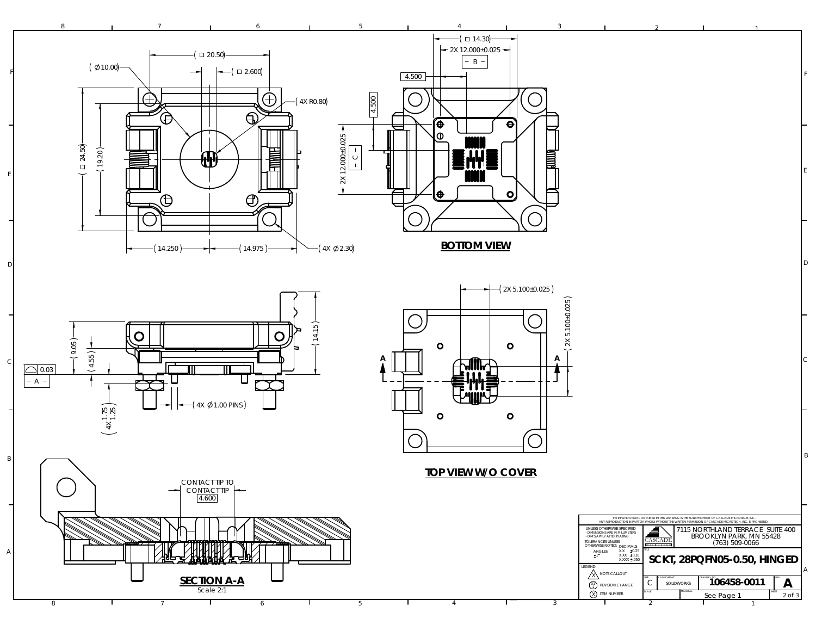